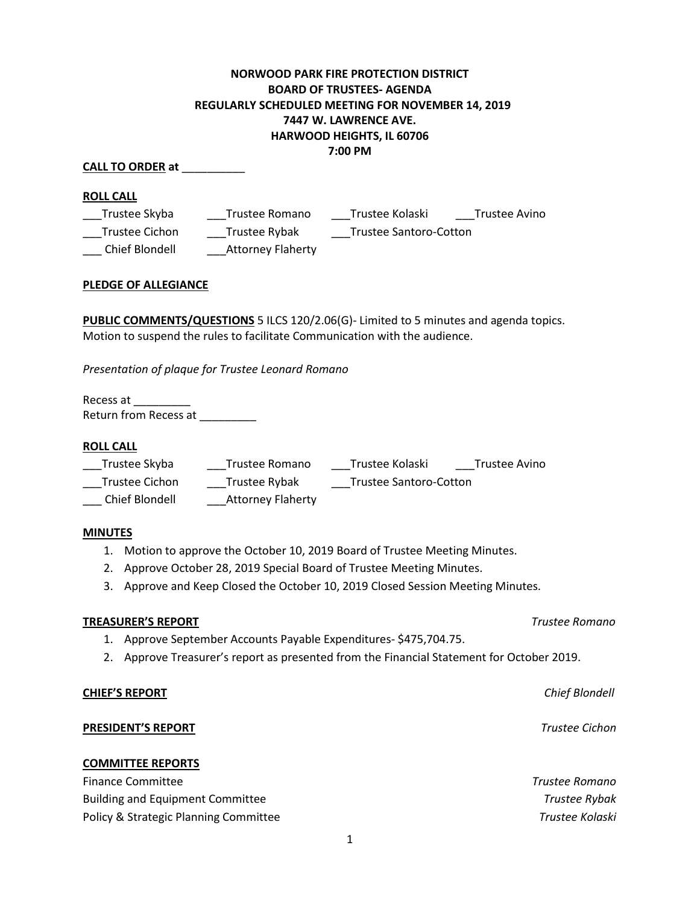# **NORWOOD PARK FIRE PROTECTION DISTRICT BOARD OF TRUSTEES- AGENDA REGULARLY SCHEDULED MEETING FOR NOVEMBER 14, 2019 7447 W. LAWRENCE AVE. HARWOOD HEIGHTS, IL 60706 7:00 PM**

## **CALL TO ORDER at** \_\_\_\_\_\_\_\_\_\_

### **ROLL CALL**

| Trustee Skyba  | Trustee Romano           | Trustee Kolaski        | Trustee Avino |
|----------------|--------------------------|------------------------|---------------|
| Trustee Cichon | Trustee Rybak            | Trustee Santoro-Cotton |               |
| Chief Blondell | <b>Attorney Flaherty</b> |                        |               |

### **PLEDGE OF ALLEGIANCE**

**PUBLIC COMMENTS/QUESTIONS** 5 ILCS 120/2.06(G)- Limited to 5 minutes and agenda topics. Motion to suspend the rules to facilitate Communication with the audience.

*Presentation of plaque for Trustee Leonard Romano*

Recess at \_\_\_\_\_\_\_\_\_ Return from Recess at **we have all** 

#### **ROLL CALL**

| Trustee Skyba  | Trustee Romano           | Trustee Kolaski        | Trustee Avino |
|----------------|--------------------------|------------------------|---------------|
| Trustee Cichon | Trustee Rybak            | Trustee Santoro-Cotton |               |
| Chief Blondell | <b>Attorney Flaherty</b> |                        |               |

#### **MINUTES**

- 1. Motion to approve the October 10, 2019 Board of Trustee Meeting Minutes.
- 2. Approve October 28, 2019 Special Board of Trustee Meeting Minutes.
- 3. Approve and Keep Closed the October 10, 2019 Closed Session Meeting Minutes.

#### **TREASURER'S REPORT** *Trustee Romano*

- 1. Approve September Accounts Payable Expenditures- \$475,704.75.
- 2. Approve Treasurer's report as presented from the Financial Statement for October 2019.

#### **CHIEF'S REPORT** *Chief Blondell*

## **PRESIDENT'S REPORT** *Trustee Cichon*

#### **COMMITTEE REPORTS**

Finance Committee *Trustee Romano* Building and Equipment Committee *Trustee Rybak*  Policy & Strategic Planning Committee **Trustee Kolaski Trustee Kolaski**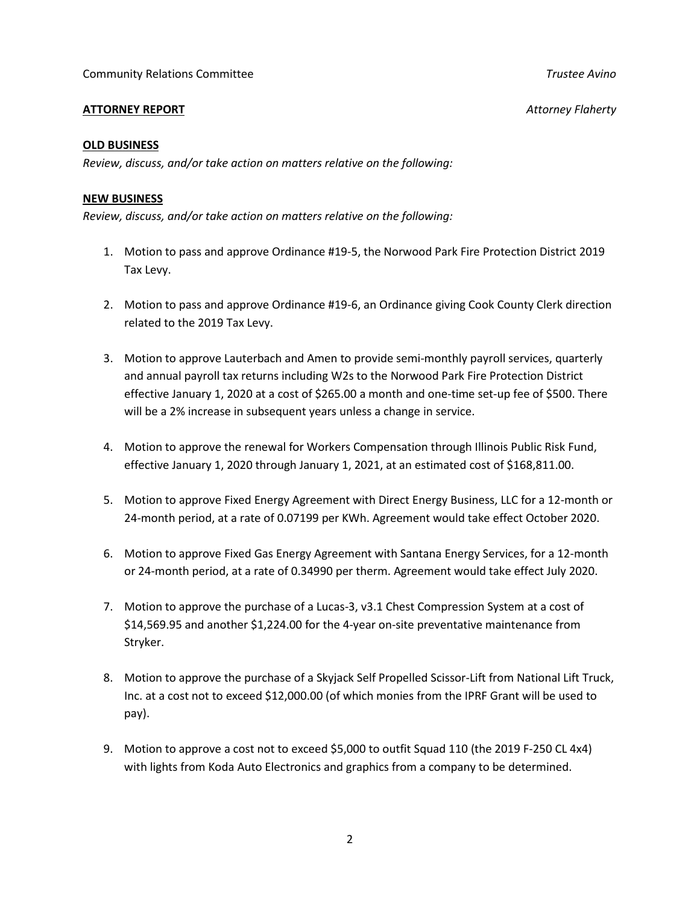## **ATTORNEY REPORT** *Attorney Flaherty*

## **OLD BUSINESS**

*Review, discuss, and/or take action on matters relative on the following:*

### **NEW BUSINESS**

*Review, discuss, and/or take action on matters relative on the following:*

- 1. Motion to pass and approve Ordinance #19-5, the Norwood Park Fire Protection District 2019 Tax Levy.
- 2. Motion to pass and approve Ordinance #19-6, an Ordinance giving Cook County Clerk direction related to the 2019 Tax Levy.
- 3. Motion to approve Lauterbach and Amen to provide semi-monthly payroll services, quarterly and annual payroll tax returns including W2s to the Norwood Park Fire Protection District effective January 1, 2020 at a cost of \$265.00 a month and one-time set-up fee of \$500. There will be a 2% increase in subsequent years unless a change in service.
- 4. Motion to approve the renewal for Workers Compensation through Illinois Public Risk Fund, effective January 1, 2020 through January 1, 2021, at an estimated cost of \$168,811.00.
- 5. Motion to approve Fixed Energy Agreement with Direct Energy Business, LLC for a 12-month or 24-month period, at a rate of 0.07199 per KWh. Agreement would take effect October 2020.
- 6. Motion to approve Fixed Gas Energy Agreement with Santana Energy Services, for a 12-month or 24-month period, at a rate of 0.34990 per therm. Agreement would take effect July 2020.
- 7. Motion to approve the purchase of a Lucas-3, v3.1 Chest Compression System at a cost of \$14,569.95 and another \$1,224.00 for the 4-year on-site preventative maintenance from Stryker.
- 8. Motion to approve the purchase of a Skyjack Self Propelled Scissor-Lift from National Lift Truck, Inc. at a cost not to exceed \$12,000.00 (of which monies from the IPRF Grant will be used to pay).
- 9. Motion to approve a cost not to exceed \$5,000 to outfit Squad 110 (the 2019 F-250 CL 4x4) with lights from Koda Auto Electronics and graphics from a company to be determined.